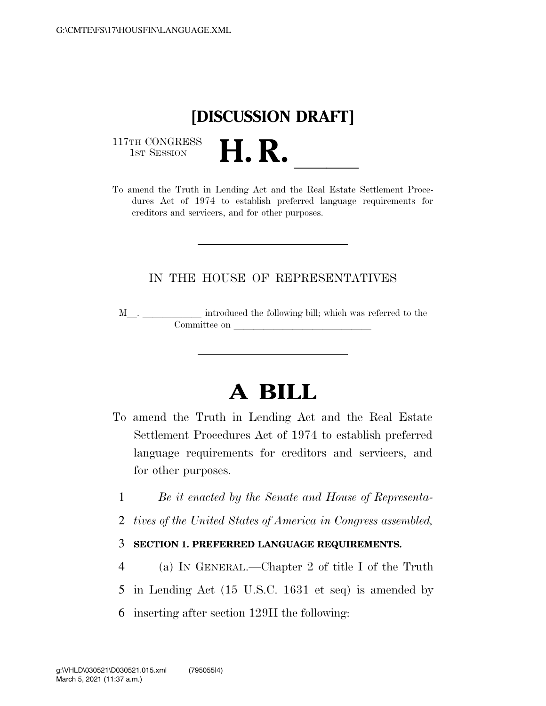

117TH CONGRESS<br>1st Session

1ST SESSION **H. R.** ll To amend the Truth in Lending Act and the Real Estate Settlement Procedures Act of 1974 to establish preferred language requirements for creditors and servicers, and for other purposes.

## IN THE HOUSE OF REPRESENTATIVES

M<sub>\_\_\_</sub>. \_\_\_\_\_\_\_\_\_\_\_\_\_ introduced the following bill; which was referred to the  $\mathop{\mathrm{Committee}}$  on  $\qquad \qquad \qquad \overbrace{\phantom{ \mathcal{H}}$ 

# **A BILL**

- To amend the Truth in Lending Act and the Real Estate Settlement Procedures Act of 1974 to establish preferred language requirements for creditors and servicers, and for other purposes.
	- 1 *Be it enacted by the Senate and House of Representa-*
	- 2 *tives of the United States of America in Congress assembled,*

### 3 **SECTION 1. PREFERRED LANGUAGE REQUIREMENTS.**

- 4 (a) IN GENERAL.—Chapter 2 of title I of the Truth
- 5 in Lending Act (15 U.S.C. 1631 et seq) is amended by
- 6 inserting after section 129H the following: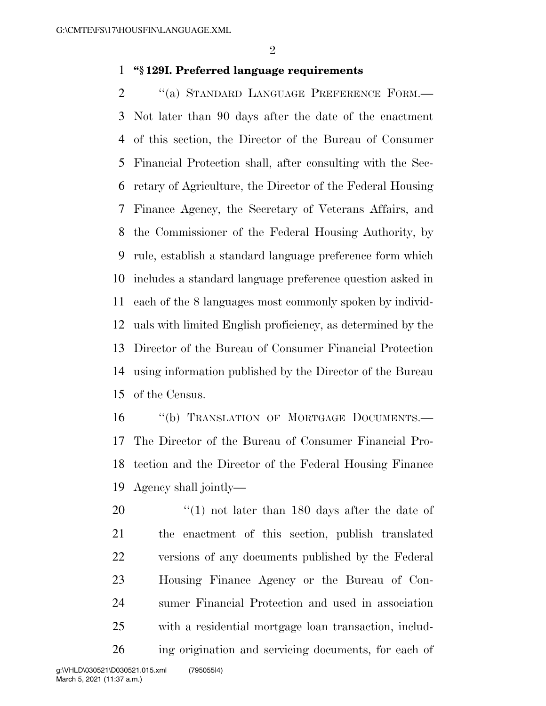## **''§ 129I. Preferred language requirements**

2 "(a) STANDARD LANGUAGE PREFERENCE FORM.— Not later than 90 days after the date of the enactment of this section, the Director of the Bureau of Consumer Financial Protection shall, after consulting with the Sec- retary of Agriculture, the Director of the Federal Housing Finance Agency, the Secretary of Veterans Affairs, and the Commissioner of the Federal Housing Authority, by rule, establish a standard language preference form which includes a standard language preference question asked in each of the 8 languages most commonly spoken by individ- uals with limited English proficiency, as determined by the Director of the Bureau of Consumer Financial Protection using information published by the Director of the Bureau of the Census.

16 "(b) TRANSLATION OF MORTGAGE DOCUMENTS.— The Director of the Bureau of Consumer Financial Pro- tection and the Director of the Federal Housing Finance Agency shall jointly—

 $\frac{1}{20}$  (1) not later than 180 days after the date of the enactment of this section, publish translated versions of any documents published by the Federal Housing Finance Agency or the Bureau of Con- sumer Financial Protection and used in association with a residential mortgage loan transaction, includ-ing origination and servicing documents, for each of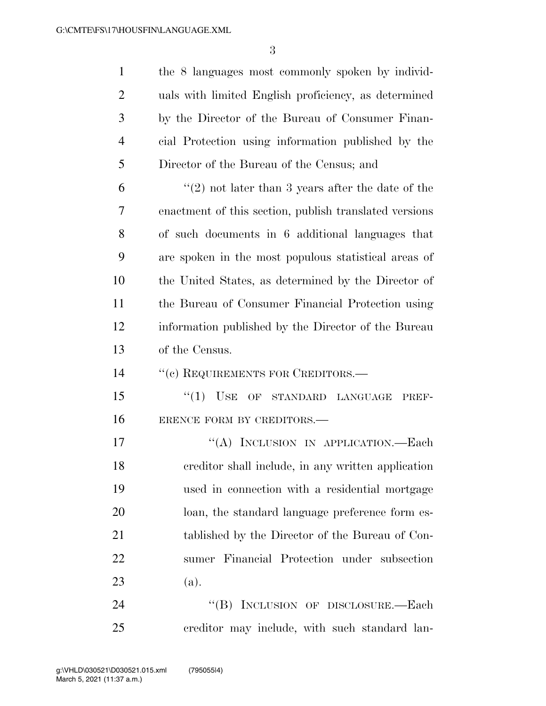the 8 languages most commonly spoken by individ- uals with limited English proficiency, as determined by the Director of the Bureau of Consumer Finan- cial Protection using information published by the Director of the Bureau of the Census; and

 $(2)$  not later than 3 years after the date of the enactment of this section, publish translated versions of such documents in 6 additional languages that are spoken in the most populous statistical areas of the United States, as determined by the Director of the Bureau of Consumer Financial Protection using information published by the Director of the Bureau of the Census.

14 " (c) REQUIREMENTS FOR CREDITORS.—

15 "(1) USE OF STANDARD LANGUAGE PREF-ERENCE FORM BY CREDITORS.—

17 "(A) INCLUSION IN APPLICATION.—Each creditor shall include, in any written application used in connection with a residential mortgage loan, the standard language preference form es- tablished by the Director of the Bureau of Con- sumer Financial Protection under subsection (a).

24 "(B) INCLUSION OF DISCLOSURE.—Each creditor may include, with such standard lan-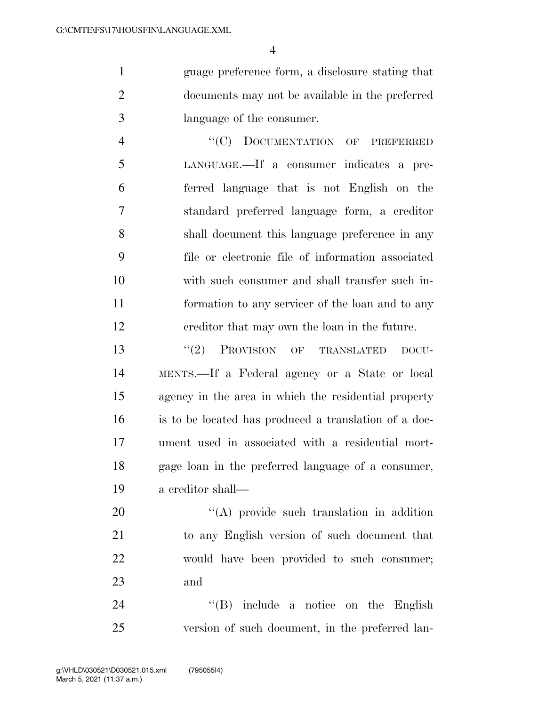guage preference form, a disclosure stating that documents may not be available in the preferred language of the consumer.

4 "(C) DOCUMENTATION OF PREFERRED LANGUAGE.—If a consumer indicates a pre- ferred language that is not English on the standard preferred language form, a creditor shall document this language preference in any file or electronic file of information associated with such consumer and shall transfer such in- formation to any servicer of the loan and to any creditor that may own the loan in the future.

13 "(2) PROVISION OF TRANSLATED DOCU- MENTS.—If a Federal agency or a State or local agency in the area in which the residential property is to be located has produced a translation of a doc- ument used in associated with a residential mort- gage loan in the preferred language of a consumer, a creditor shall—

20 "(A) provide such translation in addition to any English version of such document that would have been provided to such consumer; and

24 ''(B) include a notice on the English version of such document, in the preferred lan-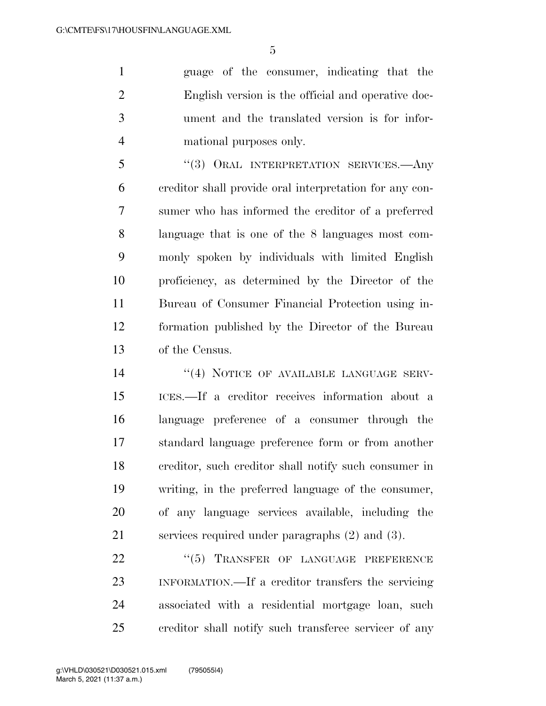guage of the consumer, indicating that the English version is the official and operative doc- ument and the translated version is for infor-mational purposes only.

 ''(3) ORAL INTERPRETATION SERVICES.—Any creditor shall provide oral interpretation for any con- sumer who has informed the creditor of a preferred language that is one of the 8 languages most com- monly spoken by individuals with limited English proficiency, as determined by the Director of the Bureau of Consumer Financial Protection using in- formation published by the Director of the Bureau of the Census.

14 "(4) NOTICE OF AVAILABLE LANGUAGE SERV- ICES.—If a creditor receives information about a language preference of a consumer through the standard language preference form or from another creditor, such creditor shall notify such consumer in writing, in the preferred language of the consumer, of any language services available, including the services required under paragraphs (2) and (3).

22 "(5) TRANSFER OF LANGUAGE PREFERENCE INFORMATION.—If a creditor transfers the servicing associated with a residential mortgage loan, such creditor shall notify such transferee servicer of any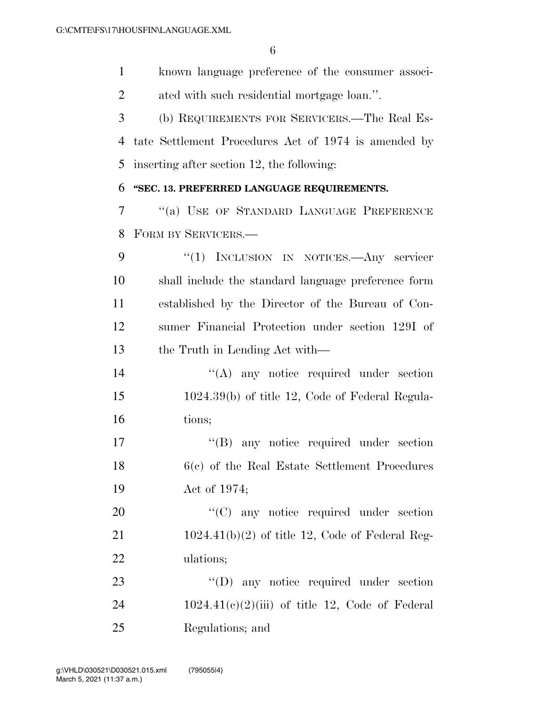known language preference of the consumer associ- ated with such residential mortgage loan.''. (b) REQUIREMENTS FOR SERVICERS.—The Real Es- tate Settlement Procedures Act of 1974 is amended by inserting after section 12, the following: **''SEC. 13. PREFERRED LANGUAGE REQUIREMENTS.**  ''(a) USE OF STANDARD LANGUAGE PREFERENCE

FORM BY SERVICERS.—

 ''(1) INCLUSION IN NOTICES.—Any servicer shall include the standard language preference form established by the Director of the Bureau of Con- sumer Financial Protection under section 129I of the Truth in Lending Act with—

14 ''(A) any notice required under section 1024.39(b) of title 12, Code of Federal Regula-tions;

17  $\text{``(B)}$  any notice required under section 6(c) of the Real Estate Settlement Procedures Act of 1974;

20  $\cdot$  (C) any notice required under section 1024.41(b)(2) of title 12, Code of Federal Reg-ulations;

23 "'(D) any notice required under section 24  $1024.41(c)(2)(iii)$  of title 12, Code of Federal Regulations; and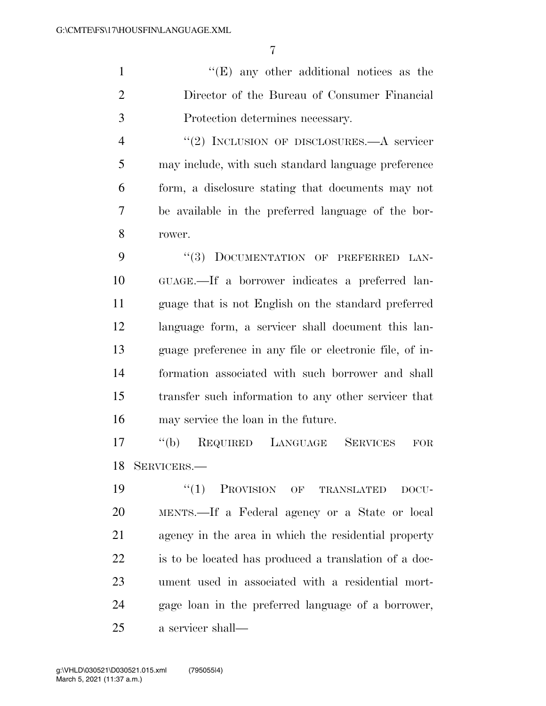1 ''(E) any other additional notices as the Director of the Bureau of Consumer Financial Protection determines necessary.

4 "(2) INCLUSION OF DISCLOSURES.—A servicer may include, with such standard language preference form, a disclosure stating that documents may not be available in the preferred language of the bor-rower.

9 "(3) DOCUMENTATION OF PREFERRED LAN- GUAGE.—If a borrower indicates a preferred lan- guage that is not English on the standard preferred language form, a servicer shall document this lan- guage preference in any file or electronic file, of in- formation associated with such borrower and shall transfer such information to any other servicer that may service the loan in the future.

 ''(b) REQUIRED LANGUAGE SERVICES FOR SERVICERS.—

 $(1)$  PROVISION OF TRANSLATED DOCU- MENTS.—If a Federal agency or a State or local agency in the area in which the residential property is to be located has produced a translation of a doc- ument used in associated with a residential mort- gage loan in the preferred language of a borrower, a servicer shall—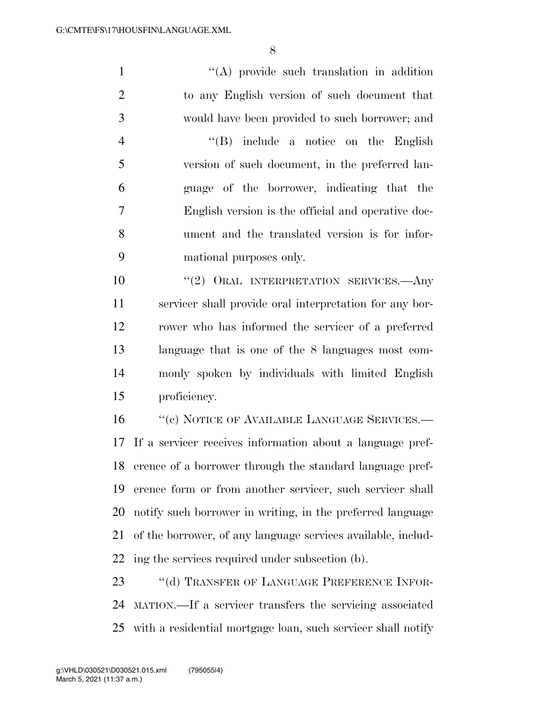1 ''(A) provide such translation in addition to any English version of such document that would have been provided to such borrower; and ''(B) include a notice on the English version of such document, in the preferred lan- guage of the borrower, indicating that the English version is the official and operative doc- ument and the translated version is for infor- mational purposes only.  $(2)$  ORAL INTERPRETATION SERVICES. Any servicer shall provide oral interpretation for any bor- rower who has informed the servicer of a preferred language that is one of the 8 languages most com- monly spoken by individuals with limited English proficiency. 16 "(c) NOTICE OF AVAILABLE LANGUAGE SERVICES.—

 If a servicer receives information about a language pref- erence of a borrower through the standard language pref- erence form or from another servicer, such servicer shall notify such borrower in writing, in the preferred language of the borrower, of any language services available, includ-ing the services required under subsection (b).

23 "(d) TRANSFER OF LANGUAGE PREFERENCE INFOR- MATION.—If a servicer transfers the servicing associated with a residential mortgage loan, such servicer shall notify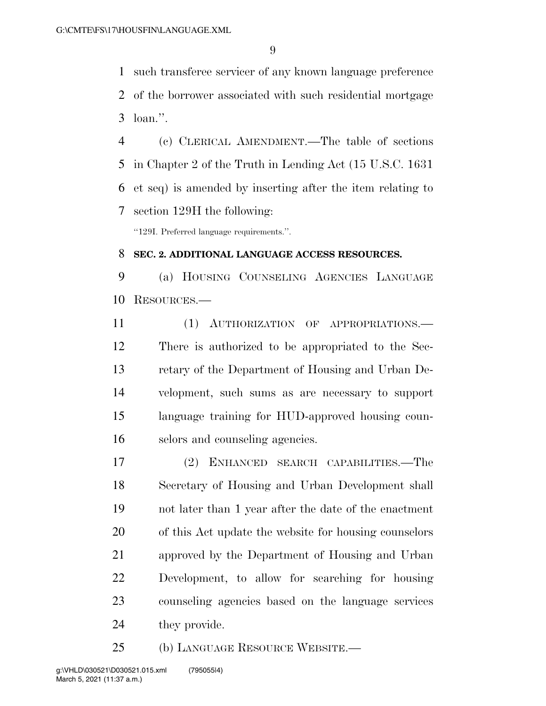such transferee servicer of any known language preference of the borrower associated with such residential mortgage loan.''.

 (c) CLERICAL AMENDMENT.—The table of sections in Chapter 2 of the Truth in Lending Act (15 U.S.C. 1631 et seq) is amended by inserting after the item relating to section 129H the following:

''129I. Preferred language requirements.''.

#### **SEC. 2. ADDITIONAL LANGUAGE ACCESS RESOURCES.**

 (a) HOUSING COUNSELING AGENCIES LANGUAGE RESOURCES.—

11 (1) AUTHORIZATION OF APPROPRIATIONS.— There is authorized to be appropriated to the Sec- retary of the Department of Housing and Urban De- velopment, such sums as are necessary to support language training for HUD-approved housing coun-selors and counseling agencies.

 (2) ENHANCED SEARCH CAPABILITIES.—The Secretary of Housing and Urban Development shall not later than 1 year after the date of the enactment of this Act update the website for housing counselors approved by the Department of Housing and Urban Development, to allow for searching for housing counseling agencies based on the language services they provide.

(b) LANGUAGE RESOURCE WEBSITE.—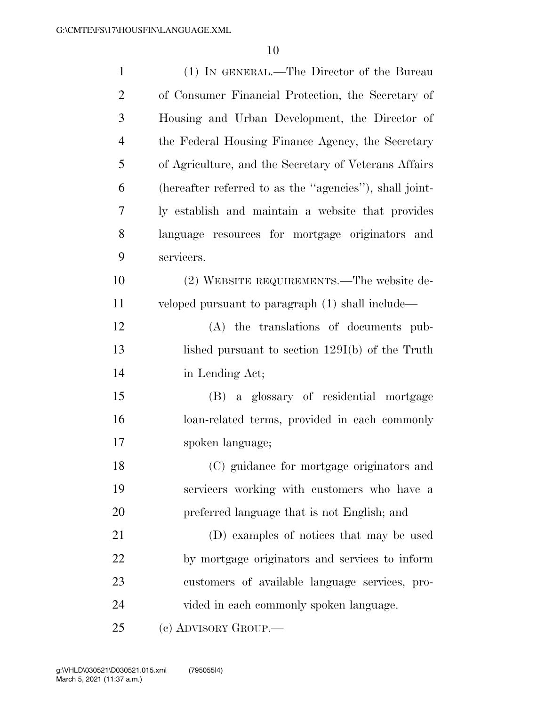| $\mathbf{1}$   | (1) IN GENERAL.—The Director of the Bureau              |
|----------------|---------------------------------------------------------|
| $\overline{2}$ | of Consumer Financial Protection, the Secretary of      |
| 3              | Housing and Urban Development, the Director of          |
| $\overline{4}$ | the Federal Housing Finance Agency, the Secretary       |
| 5              | of Agriculture, and the Secretary of Veterans Affairs   |
| 6              | (hereafter referred to as the "agencies"), shall joint- |
| 7              | ly establish and maintain a website that provides       |
| 8              | language resources for mortgage originators and         |
| 9              | servicers.                                              |
| 10             | (2) WEBSITE REQUIREMENTS.—The website de-               |
| 11             | veloped pursuant to paragraph (1) shall include—        |
| 12             | (A) the translations of documents pub-                  |
| 13             | lished pursuant to section $129I(b)$ of the Truth       |
| 14             | in Lending Act;                                         |
| 15             | (B) a glossary of residential mortgage                  |
| 16             | loan-related terms, provided in each commonly           |
| 17             | spoken language;                                        |
| 18             | (C) guidance for mortgage originators and               |
| 19             | servicers working with customers who have a             |
| 20             | preferred language that is not English; and             |
| 21             | (D) examples of notices that may be used                |
| 22             | by mortgage originators and services to inform          |
| 23             | customers of available language services, pro-          |
| 24             | vided in each commonly spoken language.                 |
| 25             | (c) ADVISORY GROUP.—                                    |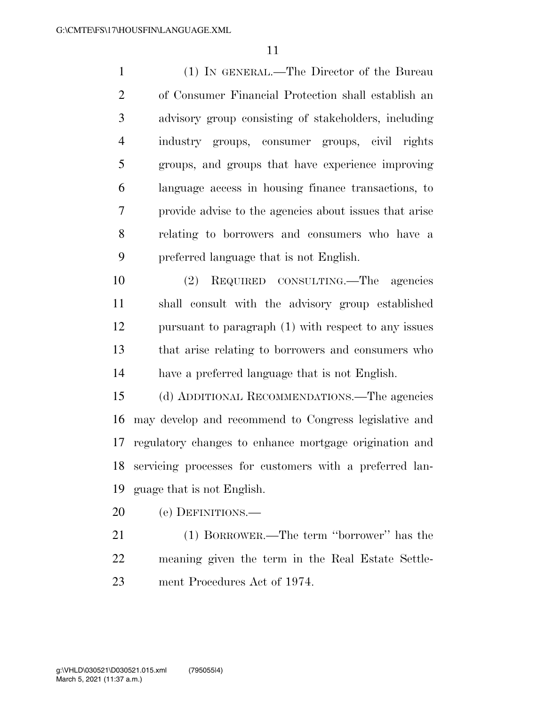(1) IN GENERAL.—The Director of the Bureau of Consumer Financial Protection shall establish an advisory group consisting of stakeholders, including industry groups, consumer groups, civil rights groups, and groups that have experience improving language access in housing finance transactions, to provide advise to the agencies about issues that arise relating to borrowers and consumers who have a preferred language that is not English.

 (2) REQUIRED CONSULTING.—The agencies shall consult with the advisory group established pursuant to paragraph (1) with respect to any issues that arise relating to borrowers and consumers who have a preferred language that is not English.

 (d) ADDITIONAL RECOMMENDATIONS.—The agencies may develop and recommend to Congress legislative and regulatory changes to enhance mortgage origination and servicing processes for customers with a preferred lan-guage that is not English.

(e) DEFINITIONS.—

 (1) BORROWER.—The term ''borrower'' has the meaning given the term in the Real Estate Settle-ment Procedures Act of 1974.